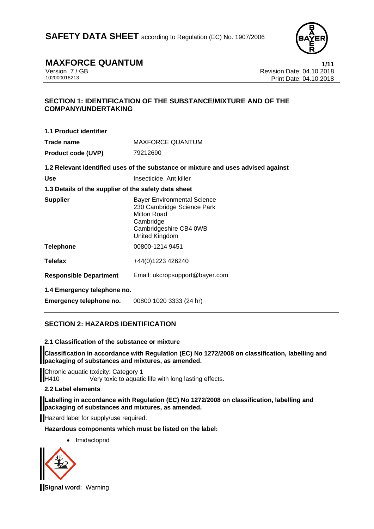**SAFETY DATA SHEET** according to Regulation (EC) No. 1907/2006



## **MAXFORCE QUANTUM**<br>
Version 7/GB<br>
Revision Date: 04.10.2018

Version 7 / GB Revision Date: 04.10.2018 Print Date: 04.10.2018

### **SECTION 1: IDENTIFICATION OF THE SUBSTANCE/MIXTURE AND OF THE COMPANY/UNDERTAKING**

| 1.1 Product identifier                               |                                                                                                                                          |
|------------------------------------------------------|------------------------------------------------------------------------------------------------------------------------------------------|
| Trade name                                           | <b>MAXFORCE QUANTUM</b>                                                                                                                  |
| <b>Product code (UVP)</b>                            | 79212690                                                                                                                                 |
|                                                      | 1.2 Relevant identified uses of the substance or mixture and uses advised against                                                        |
| <b>Use</b>                                           | Insecticide, Ant killer                                                                                                                  |
| 1.3 Details of the supplier of the safety data sheet |                                                                                                                                          |
| <b>Supplier</b>                                      | <b>Bayer Environmental Science</b><br>230 Cambridge Science Park<br>Milton Road<br>Cambridge<br>Cambridgeshire CB4 0WB<br>United Kingdom |
| <b>Telephone</b>                                     | 00800-1214 9451                                                                                                                          |
| <b>Telefax</b>                                       | +44(0)1223 426240                                                                                                                        |
| <b>Responsible Department</b>                        | Email: ukcropsupport@bayer.com                                                                                                           |
| 1.4 Emergency telephone no.                          |                                                                                                                                          |
| Emergency telephone no.                              | 00800 1020 3333 (24 hr)                                                                                                                  |

### **SECTION 2: HAZARDS IDENTIFICATION**

### **2.1 Classification of the substance or mixture**

**Classification in accordance with Regulation (EC) No 1272/2008 on classification, labelling and packaging of substances and mixtures, as amended.** 

**Chronic aquatic toxicity: Category 1**<br>H410 Very toxic to aquation Very toxic to aquatic life with long lasting effects.

### **2.2 Label elements**

**Labelling in accordance with Regulation (EC) No 1272/2008 on classification, labelling and packaging of substances and mixtures, as amended.** 

Hazard label for supply/use required.

**Hazardous components which must be listed on the label:** 

• Imidacloprid



**Signal word:** Warning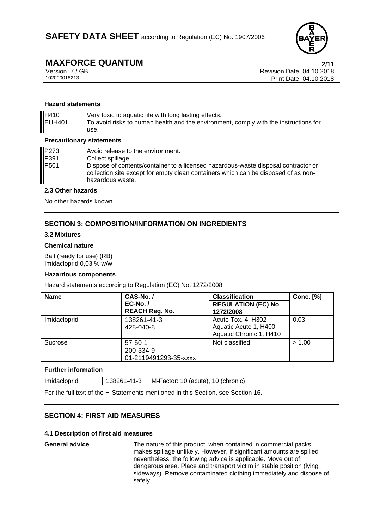

### **MAXFORCE QUANTUM 2/11**

Version 7 / GB Revision Date: 04.10.2018 Print Date: 04.10.2018

### **Hazard statements**

H410 Very toxic to aquatic life with long lasting effects. EUH401 To avoid risks to human health and the environment, comply with the instructions for use.

### **Precautionary statements**

| P273             | Avoid release to the environment.                                                                                                                                                            |
|------------------|----------------------------------------------------------------------------------------------------------------------------------------------------------------------------------------------|
| P391             | Collect spillage.                                                                                                                                                                            |
| P <sub>501</sub> | Dispose of contents/container to a licensed hazardous-waste disposal contractor or<br>collection site except for empty clean containers which can be disposed of as non-<br>hazardous waste. |

### **2.3 Other hazards**

No other hazards known.

### **SECTION 3: COMPOSITION/INFORMATION ON INGREDIENTS**

### **3.2 Mixtures**

### **Chemical nature**

Bait (ready for use) (RB) Imidacloprid 0,03 % w/w

### **Hazardous components**

Hazard statements according to Regulation (EC) No. 1272/2008

| <b>Name</b>  | CAS-No./<br><b>EC-No. /</b>                         | <b>Classification</b><br><b>REGULATION (EC) No</b>                     | <b>Conc. [%]</b> |
|--------------|-----------------------------------------------------|------------------------------------------------------------------------|------------------|
|              | <b>REACH Reg. No.</b>                               | 1272/2008                                                              |                  |
| Imidacloprid | 138261-41-3<br>428-040-8                            | Acute Tox. 4, H302<br>Aquatic Acute 1, H400<br>Aquatic Chronic 1, H410 | 0.03             |
| Sucrose      | $57 - 50 - 1$<br>200-334-9<br>01-2119491293-35-xxxx | Not classified                                                         | > 1.00           |

### **Further information**

| Imidad<br>ıcloprıd | $\lambda$ <sup>1</sup><br>,,,<br>$-4$ $-7$<br>. . | M-Factor:<br>(chronic<br>' ()<br>. .<br>(acute)<br>ш |
|--------------------|---------------------------------------------------|------------------------------------------------------|
|                    |                                                   |                                                      |

For the full text of the H-Statements mentioned in this Section, see Section 16.

### **SECTION 4: FIRST AID MEASURES**

### **4.1 Description of first aid measures**

**General advice** The nature of this product, when contained in commercial packs, makes spillage unlikely. However, if significant amounts are spilled nevertheless, the following advice is applicable. Move out of dangerous area. Place and transport victim in stable position (lying sideways). Remove contaminated clothing immediately and dispose of safely.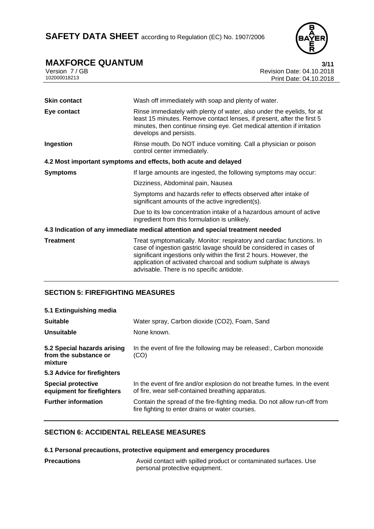

# **MAXFORCE QUANTUM** 3/11<br>Version 7 / GB Revision Date: 04.10.2018

Version 7 / GB Revision Date: 04.10.2018<br>102000018213 Print Date: 04.10.2018 Print Date: 04.10.2018

| <b>Skin contact</b> | Wash off immediately with soap and plenty of water.                                                                                                                                                                                                                                                                              |
|---------------------|----------------------------------------------------------------------------------------------------------------------------------------------------------------------------------------------------------------------------------------------------------------------------------------------------------------------------------|
| Eye contact         | Rinse immediately with plenty of water, also under the eyelids, for at<br>least 15 minutes. Remove contact lenses, if present, after the first 5<br>minutes, then continue rinsing eye. Get medical attention if irritation<br>develops and persists.                                                                            |
| Ingestion           | Rinse mouth. Do NOT induce vomiting. Call a physician or poison<br>control center immediately.                                                                                                                                                                                                                                   |
|                     | 4.2 Most important symptoms and effects, both acute and delayed                                                                                                                                                                                                                                                                  |
| <b>Symptoms</b>     | If large amounts are ingested, the following symptoms may occur:                                                                                                                                                                                                                                                                 |
|                     | Dizziness, Abdominal pain, Nausea                                                                                                                                                                                                                                                                                                |
|                     | Symptoms and hazards refer to effects observed after intake of<br>significant amounts of the active ingredient(s).                                                                                                                                                                                                               |
|                     | Due to its low concentration intake of a hazardous amount of active<br>ingredient from this formulation is unlikely.                                                                                                                                                                                                             |
|                     | 4.3 Indication of any immediate medical attention and special treatment needed                                                                                                                                                                                                                                                   |
| <b>Treatment</b>    | Treat symptomatically. Monitor: respiratory and cardiac functions. In<br>case of ingestion gastric lavage should be considered in cases of<br>significant ingestions only within the first 2 hours. However, the<br>application of activated charcoal and sodium sulphate is always<br>advisable. There is no specific antidote. |

### **SECTION 5: FIREFIGHTING MEASURES**

| 5.1 Extinguishing media                                         |                                                                                                                               |
|-----------------------------------------------------------------|-------------------------------------------------------------------------------------------------------------------------------|
| <b>Suitable</b>                                                 | Water spray, Carbon dioxide (CO2), Foam, Sand                                                                                 |
| Unsuitable                                                      | None known.                                                                                                                   |
| 5.2 Special hazards arising<br>from the substance or<br>mixture | In the event of fire the following may be released:, Carbon monoxide<br>(CO)                                                  |
| 5.3 Advice for firefighters                                     |                                                                                                                               |
| <b>Special protective</b><br>equipment for firefighters         | In the event of fire and/or explosion do not breathe fumes. In the event<br>of fire, wear self-contained breathing apparatus. |
| <b>Further information</b>                                      | Contain the spread of the fire-fighting media. Do not allow run-off from<br>fire fighting to enter drains or water courses.   |

### **SECTION 6: ACCIDENTAL RELEASE MEASURES**

### **6.1 Personal precautions, protective equipment and emergency procedures**

| <b>Precautions</b> | Avoid contact with spilled product or contaminated surfaces. Use |
|--------------------|------------------------------------------------------------------|
|                    | personal protective equipment.                                   |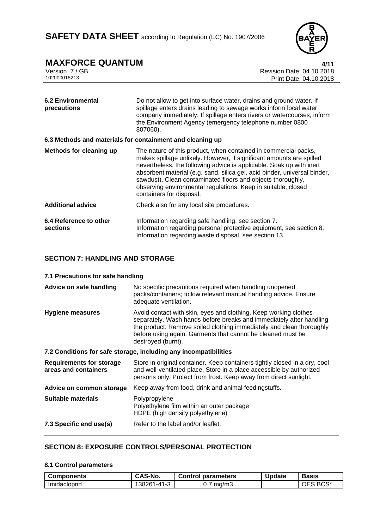

## **MAXFORCE QUANTUM**<br>Version 7/GB **1/11**<br>Revision Date: 04.10.2018

Version 7 / GB Revision Date: 04.10.2018<br>102000018213 Print Date: 04.10.2018 Print Date: 04.10.2018

| <b>6.2 Environmental</b><br>precautions                   | Do not allow to get into surface water, drains and ground water. If<br>spillage enters drains leading to sewage works inform local water<br>company immediately. If spillage enters rivers or watercourses, inform<br>the Environment Agency (emergency telephone number 0800<br>807060).                                                                                                                                                                |
|-----------------------------------------------------------|----------------------------------------------------------------------------------------------------------------------------------------------------------------------------------------------------------------------------------------------------------------------------------------------------------------------------------------------------------------------------------------------------------------------------------------------------------|
| 6.3 Methods and materials for containment and cleaning up |                                                                                                                                                                                                                                                                                                                                                                                                                                                          |
| Methods for cleaning up                                   | The nature of this product, when contained in commercial packs,<br>makes spillage unlikely. However, if significant amounts are spilled<br>nevertheless, the following advice is applicable. Soak up with inert<br>absorbent material (e.g. sand, silica gel, acid binder, universal binder,<br>sawdust). Clean contaminated floors and objects thoroughly,<br>observing environmental regulations. Keep in suitable, closed<br>containers for disposal. |
| <b>Additional advice</b>                                  | Check also for any local site procedures.                                                                                                                                                                                                                                                                                                                                                                                                                |
| 6.4 Reference to other<br>sections                        | Information regarding safe handling, see section 7.<br>Information regarding personal protective equipment, see section 8.<br>Information regarding waste disposal, see section 13.                                                                                                                                                                                                                                                                      |

### **SECTION 7: HANDLING AND STORAGE**

### **7.1 Precautions for safe handling**

| Advice on safe handling                                 | No specific precautions required when handling unopened<br>packs/containers; follow relevant manual handling advice. Ensure<br>adequate ventilation.                                                                                                                                                 |
|---------------------------------------------------------|------------------------------------------------------------------------------------------------------------------------------------------------------------------------------------------------------------------------------------------------------------------------------------------------------|
| Hygiene measures                                        | Avoid contact with skin, eyes and clothing. Keep working clothes<br>separately. Wash hands before breaks and immediately after handling<br>the product. Remove soiled clothing immediately and clean thoroughly<br>before using again. Garments that cannot be cleaned must be<br>destroyed (burnt). |
|                                                         | 7.2 Conditions for safe storage, including any incompatibilities                                                                                                                                                                                                                                     |
| <b>Requirements for storage</b><br>areas and containers | Store in original container. Keep containers tightly closed in a dry, cool<br>and well-ventilated place. Store in a place accessible by authorized<br>persons only. Protect from frost. Keep away from direct sunlight.                                                                              |
| Advice on common storage                                | Keep away from food, drink and animal feedingstuffs.                                                                                                                                                                                                                                                 |
| Suitable materials                                      | Polypropylene<br>Polyethylene film within an outer package<br>HDPE (high density polyethylene)                                                                                                                                                                                                       |
| 7.3 Specific end use(s)                                 | Refer to the label and/or leaflet.                                                                                                                                                                                                                                                                   |

### **SECTION 8: EXPOSURE CONTROLS/PERSONAL PROTECTION**

### **8.1 Control parameters**

| <b>Components</b> | CAS-No.                       | <b>Control parameters</b> | Update | <b>Basis</b>            |
|-------------------|-------------------------------|---------------------------|--------|-------------------------|
| Imidacloprid      | $\sim$<br>$1 - 41 -$<br>38261 | ma/m3<br><b>U.</b>        |        | BCS <sup>*</sup><br>OES |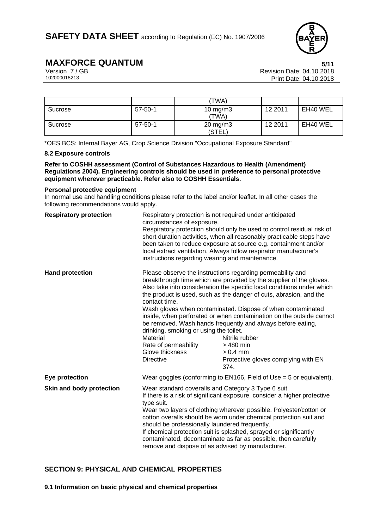

## **MAXFORCE QUANTUM**<br>Version 7/GB Version 7/GB

Version 7 / GB<br>102000018213<br>Print Date: 04.10.2018 Print Date: 04.10.2018

|         |               | 'TWA)                         |         |          |
|---------|---------------|-------------------------------|---------|----------|
| Sucrose | $57 - 50 - 1$ | 10 mg/m $3$<br>'TWA)          | 12 2011 | EH40 WEL |
| Sucrose | $57 - 50 - 1$ | $20 \text{ mg/m}$ 3<br>(STEL) | 12 2011 | EH40 WEL |

\*OES BCS: Internal Bayer AG, Crop Science Division "Occupational Exposure Standard"

### **8.2 Exposure controls**

**Refer to COSHH assessment (Control of Substances Hazardous to Health (Amendment) Regulations 2004). Engineering controls should be used in preference to personal protective equipment wherever practicable. Refer also to COSHH Essentials.**

#### **Personal protective equipment**

In normal use and handling conditions please refer to the label and/or leaflet. In all other cases the following recommendations would apply.

| <b>Respiratory protection</b> | Respiratory protection is not required under anticipated<br>circumstances of exposure.<br>Respiratory protection should only be used to control residual risk of<br>short duration activities, when all reasonably practicable steps have<br>been taken to reduce exposure at source e.g. containment and/or<br>local extract ventilation. Always follow respirator manufacturer's<br>instructions regarding wearing and maintenance.                                                                                                  |                                                                                                                                                                                                                                                                                                                                                                                                                                                                                                                                                                                    |  |
|-------------------------------|----------------------------------------------------------------------------------------------------------------------------------------------------------------------------------------------------------------------------------------------------------------------------------------------------------------------------------------------------------------------------------------------------------------------------------------------------------------------------------------------------------------------------------------|------------------------------------------------------------------------------------------------------------------------------------------------------------------------------------------------------------------------------------------------------------------------------------------------------------------------------------------------------------------------------------------------------------------------------------------------------------------------------------------------------------------------------------------------------------------------------------|--|
| <b>Hand protection</b>        | contact time.<br>drinking, smoking or using the toilet.<br>Material<br>Rate of permeability<br>Glove thickness<br><b>Directive</b>                                                                                                                                                                                                                                                                                                                                                                                                     | Please observe the instructions regarding permeability and<br>breakthrough time which are provided by the supplier of the gloves.<br>Also take into consideration the specific local conditions under which<br>the product is used, such as the danger of cuts, abrasion, and the<br>Wash gloves when contaminated. Dispose of when contaminated<br>inside, when perforated or when contamination on the outside cannot<br>be removed. Wash hands frequently and always before eating,<br>Nitrile rubber<br>> 480 min<br>$> 0.4$ mm<br>Protective gloves complying with EN<br>374. |  |
| Eye protection                |                                                                                                                                                                                                                                                                                                                                                                                                                                                                                                                                        | Wear goggles (conforming to $EN166$ , Field of Use = 5 or equivalent).                                                                                                                                                                                                                                                                                                                                                                                                                                                                                                             |  |
| Skin and body protection      | Wear standard coveralls and Category 3 Type 6 suit.<br>If there is a risk of significant exposure, consider a higher protective<br>type suit.<br>Wear two layers of clothing wherever possible. Polyester/cotton or<br>cotton overalls should be worn under chemical protection suit and<br>should be professionally laundered frequently.<br>If chemical protection suit is splashed, sprayed or significantly<br>contaminated, decontaminate as far as possible, then carefully<br>remove and dispose of as advised by manufacturer. |                                                                                                                                                                                                                                                                                                                                                                                                                                                                                                                                                                                    |  |

### **SECTION 9: PHYSICAL AND CHEMICAL PROPERTIES**

**9.1 Information on basic physical and chemical properties**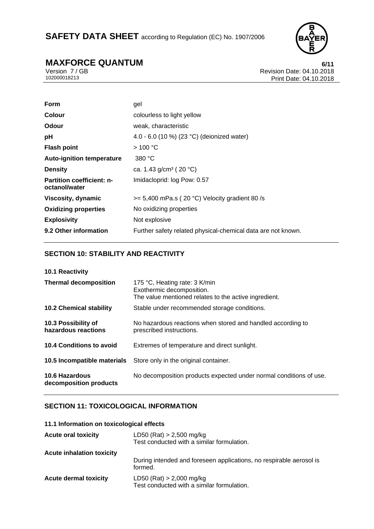## SAFETY DATA SHEET according to Regulation (EC) No. 1907/2006



# **MAXFORCE QUANTUM**<br>Version 7/GB<br>Revision Date: 04.10.2018

Version 7 / GB Revision Date: 04.10.2018<br>102000018213 Print Date: 04.10.2018 Print Date: 04.10.2018

| <b>Form</b>                                       | gel                                                          |
|---------------------------------------------------|--------------------------------------------------------------|
| <b>Colour</b>                                     | colourless to light yellow                                   |
| <b>Odour</b>                                      | weak, characteristic                                         |
| pH                                                | 4.0 - 6.0 (10 %) (23 °C) (deionized water)                   |
| <b>Flash point</b>                                | $>$ 100 °C                                                   |
| <b>Auto-ignition temperature</b>                  | 380 °C                                                       |
| <b>Density</b>                                    | ca. 1.43 g/cm <sup>3</sup> (20 °C)                           |
| <b>Partition coefficient: n-</b><br>octanol/water | Imidacloprid: log Pow: 0.57                                  |
| Viscosity, dynamic                                | $>= 5,400$ mPa.s (20 °C) Velocity gradient 80/s              |
| <b>Oxidizing properties</b>                       | No oxidizing properties                                      |
| <b>Explosivity</b>                                | Not explosive                                                |
| 9.2 Other information                             | Further safety related physical-chemical data are not known. |

### **SECTION 10: STABILITY AND REACTIVITY**

| 10.1 Reactivity                            |                                                                                                                     |
|--------------------------------------------|---------------------------------------------------------------------------------------------------------------------|
| <b>Thermal decomposition</b>               | 175 °C, Heating rate: 3 K/min<br>Exothermic decomposition.<br>The value mentioned relates to the active ingredient. |
| <b>10.2 Chemical stability</b>             | Stable under recommended storage conditions.                                                                        |
| 10.3 Possibility of<br>hazardous reactions | No hazardous reactions when stored and handled according to<br>prescribed instructions.                             |
| 10.4 Conditions to avoid                   | Extremes of temperature and direct sunlight.                                                                        |
| 10.5 Incompatible materials                | Store only in the original container.                                                                               |
| 10.6 Hazardous<br>decomposition products   | No decomposition products expected under normal conditions of use.                                                  |

### **SECTION 11: TOXICOLOGICAL INFORMATION**

### **11.1 Information on toxicological effects**

| <b>Acute oral toxicity</b>       | $LD50$ (Rat) > 2,500 mg/kg<br>Test conducted with a similar formulation.       |
|----------------------------------|--------------------------------------------------------------------------------|
| <b>Acute inhalation toxicity</b> |                                                                                |
|                                  | During intended and foreseen applications, no respirable aerosol is<br>formed. |
| <b>Acute dermal toxicity</b>     | $LD50$ (Rat) $> 2,000$ mg/kg<br>Test conducted with a similar formulation.     |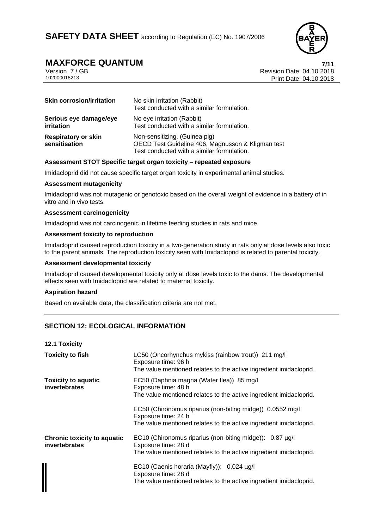

### **MAXFORCE QUANTUM 7/11**

Version 7 / GB Revision Date: 04.10.2018 Print Date: 04.10.2018

| <b>Skin corrosion/irritation</b>            | No skin irritation (Rabbit)<br>Test conducted with a similar formulation.                                                        |
|---------------------------------------------|----------------------------------------------------------------------------------------------------------------------------------|
| Serious eye damage/eye<br>irritation        | No eye irritation (Rabbit)<br>Test conducted with a similar formulation.                                                         |
| <b>Respiratory or skin</b><br>sensitisation | Non-sensitizing. (Guinea pig)<br>OECD Test Guideline 406, Magnusson & Kligman test<br>Test conducted with a similar formulation. |

### **Assessment STOT Specific target organ toxicity – repeated exposure**

Imidacloprid did not cause specific target organ toxicity in experimental animal studies.

### **Assessment mutagenicity**

Imidacloprid was not mutagenic or genotoxic based on the overall weight of evidence in a battery of in vitro and in vivo tests.

### **Assessment carcinogenicity**

Imidacloprid was not carcinogenic in lifetime feeding studies in rats and mice.

### **Assessment toxicity to reproduction**

Imidacloprid caused reproduction toxicity in a two-generation study in rats only at dose levels also toxic to the parent animals. The reproduction toxicity seen with Imidacloprid is related to parental toxicity.

### **Assessment developmental toxicity**

Imidacloprid caused developmental toxicity only at dose levels toxic to the dams. The developmental effects seen with Imidacloprid are related to maternal toxicity.

### **Aspiration hazard**

Based on available data, the classification criteria are not met.

### **SECTION 12: ECOLOGICAL INFORMATION**

| <b>12.1 Toxicity</b>                                |                                                                                                                                                        |
|-----------------------------------------------------|--------------------------------------------------------------------------------------------------------------------------------------------------------|
| <b>Toxicity to fish</b>                             | LC50 (Oncorhynchus mykiss (rainbow trout)) 211 mg/l<br>Exposure time: 96 h<br>The value mentioned relates to the active ingredient imidacloprid.       |
| <b>Toxicity to aquatic</b><br>invertebrates         | EC50 (Daphnia magna (Water flea)) 85 mg/l<br>Exposure time: 48 h<br>The value mentioned relates to the active ingredient imidacloprid.                 |
|                                                     | EC50 (Chironomus riparius (non-biting midge)) 0.0552 mg/l<br>Exposure time: 24 h<br>The value mentioned relates to the active ingredient imidacloprid. |
| <b>Chronic toxicity to aquatic</b><br>invertebrates | EC10 (Chironomus riparius (non-biting midge)): 0.87 µg/l<br>Exposure time: 28 d<br>The value mentioned relates to the active ingredient imidacloprid.  |
|                                                     | EC10 (Caenis horaria (Mayfly)): 0,024 µg/l<br>Exposure time: 28 d<br>The value mentioned relates to the active ingredient imidacloprid.                |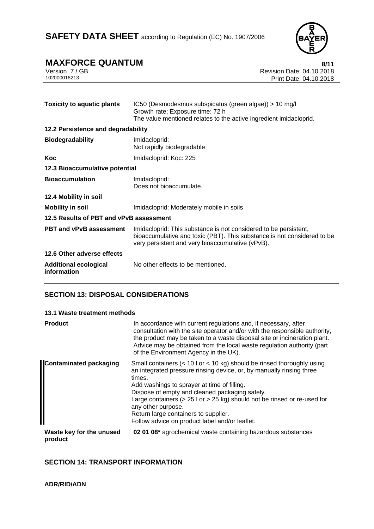

## **MAXFORCE QUANTUM**<br>Version 7/GB<br>Revision Date: 04.10.2018

Version 7 / GB Revision Date: 04.10.2018<br>102000018213 Print Date: 04.10.2018 Print Date: 04.10.2018

| <b>Toxicity to aquatic plants</b>           | IC50 (Desmodesmus subspicatus (green algae)) > 10 mg/l<br>Growth rate; Exposure time: 72 h<br>The value mentioned relates to the active ingredient imidacloprid.                                |  |
|---------------------------------------------|-------------------------------------------------------------------------------------------------------------------------------------------------------------------------------------------------|--|
| 12.2 Persistence and degradability          |                                                                                                                                                                                                 |  |
| <b>Biodegradability</b>                     | Imidacloprid:<br>Not rapidly biodegradable                                                                                                                                                      |  |
| Koc                                         | Imidacloprid: Koc: 225                                                                                                                                                                          |  |
| 12.3 Bioaccumulative potential              |                                                                                                                                                                                                 |  |
| <b>Bioaccumulation</b>                      | Imidacloprid:<br>Does not bioaccumulate.                                                                                                                                                        |  |
| 12.4 Mobility in soil                       |                                                                                                                                                                                                 |  |
| <b>Mobility in soil</b>                     | Imidacloprid: Moderately mobile in soils                                                                                                                                                        |  |
| 12.5 Results of PBT and vPvB assessment     |                                                                                                                                                                                                 |  |
| <b>PBT and vPvB assessment</b>              | Imidacloprid: This substance is not considered to be persistent,<br>bioaccumulative and toxic (PBT). This substance is not considered to be<br>very persistent and very bioaccumulative (vPvB). |  |
| 12.6 Other adverse effects                  |                                                                                                                                                                                                 |  |
| <b>Additional ecological</b><br>information | No other effects to be mentioned.                                                                                                                                                               |  |

### **SECTION 13: DISPOSAL CONSIDERATIONS**

### **13.1 Waste treatment methods**

| <b>Product</b>                      | In accordance with current regulations and, if necessary, after<br>consultation with the site operator and/or with the responsible authority,<br>the product may be taken to a waste disposal site or incineration plant.<br>Advice may be obtained from the local waste regulation authority (part<br>of the Environment Agency in the UK).                                                                                                                                 |
|-------------------------------------|------------------------------------------------------------------------------------------------------------------------------------------------------------------------------------------------------------------------------------------------------------------------------------------------------------------------------------------------------------------------------------------------------------------------------------------------------------------------------|
| <b>Contaminated packaging</b>       | Small containers $(< 10 \text{ l or} < 10 \text{ kg})$ should be rinsed thoroughly using<br>an integrated pressure rinsing device, or, by manually rinsing three<br>times.<br>Add washings to sprayer at time of filling.<br>Dispose of empty and cleaned packaging safely.<br>Large containers ( $> 25$ I or $> 25$ kg) should not be rinsed or re-used for<br>any other purpose.<br>Return large containers to supplier.<br>Follow advice on product label and/or leaflet. |
| Waste key for the unused<br>product | 02 01 08* agrochemical waste containing hazardous substances                                                                                                                                                                                                                                                                                                                                                                                                                 |

### **SECTION 14: TRANSPORT INFORMATION**

**ADR/RID/ADN**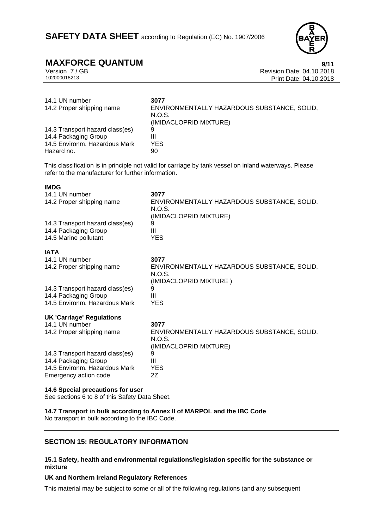## **MAXFORCE QUANTUM**<br>Version 7/GB Version 7/GB

Version 7 / GB Revision Date: 04.10.2018 Print Date: 04.10.2018

| 14.1 UN number<br>14.2 Proper shipping name | 3077<br>ENVIRONMENTALLY HAZARDOUS SUBSTANCE, SOLID,<br>N.O.S.<br>(IMIDACLOPRID MIXTURE) |
|---------------------------------------------|-----------------------------------------------------------------------------------------|
| 14.3 Transport hazard class(es)             | 9                                                                                       |
| 14.4 Packaging Group                        | Ш                                                                                       |
| 14.5 Environm. Hazardous Mark               | YES.                                                                                    |
| Hazard no.                                  | 90                                                                                      |

This classification is in principle not valid for carriage by tank vessel on inland waterways. Please refer to the manufacturer for further information.

### **IMDG**

| 3077<br>ENVIRONMENTALLY HAZARDOUS SUBSTANCE, SOLID,<br>N.O.S.<br>(IMIDACLOPRID MIXTURE)<br>9<br>Ш<br><b>YES</b> |
|-----------------------------------------------------------------------------------------------------------------|
|                                                                                                                 |
| 3077                                                                                                            |
| ENVIRONMENTALLY HAZARDOUS SUBSTANCE, SOLID,<br>N.O.S.<br>(IMIDACLOPRID MIXTURE)                                 |
| 9                                                                                                               |
| Ш                                                                                                               |
| <b>YES</b>                                                                                                      |
|                                                                                                                 |
| 3077                                                                                                            |
| ENVIRONMENTALLY HAZARDOUS SUBSTANCE, SOLID,<br>N.O.S.                                                           |
| (IMIDACLOPRID MIXTURE)<br>9                                                                                     |
| Ш                                                                                                               |
| <b>YES</b>                                                                                                      |
| 2Z                                                                                                              |
|                                                                                                                 |

### **14.6 Special precautions for user**

See sections 6 to 8 of this Safety Data Sheet.

**14.7 Transport in bulk according to Annex II of MARPOL and the IBC Code**  No transport in bulk according to the IBC Code.

### **SECTION 15: REGULATORY INFORMATION**

### **15.1 Safety, health and environmental regulations/legislation specific for the substance or mixture**

### **UK and Northern Ireland Regulatory References**

This material may be subject to some or all of the following regulations (and any subsequent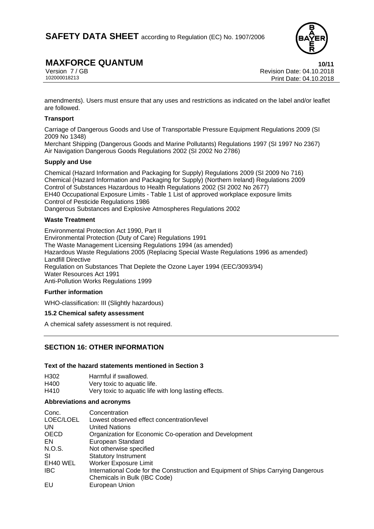

### **MAXFORCE QUANTUM** 10/11

Version 7 / GB<br>102000018213<br>Print Date: 04.10.2018 Print Date: 04.10.2018

amendments). Users must ensure that any uses and restrictions as indicated on the label and/or leaflet are followed.

### **Transport**

Carriage of Dangerous Goods and Use of Transportable Pressure Equipment Regulations 2009 (SI 2009 No 1348)

Merchant Shipping (Dangerous Goods and Marine Pollutants) Regulations 1997 (SI 1997 No 2367) Air Navigation Dangerous Goods Regulations 2002 (SI 2002 No 2786)

### **Supply and Use**

Chemical (Hazard Information and Packaging for Supply) Regulations 2009 (SI 2009 No 716) Chemical (Hazard Information and Packaging for Supply) (Northern Ireland) Regulations 2009 Control of Substances Hazardous to Health Regulations 2002 (SI 2002 No 2677) EH40 Occupational Exposure Limits - Table 1 List of approved workplace exposure limits Control of Pesticide Regulations 1986 Dangerous Substances and Explosive Atmospheres Regulations 2002

### **Waste Treatment**

Environmental Protection Act 1990, Part II Environmental Protection (Duty of Care) Regulations 1991 The Waste Management Licensing Regulations 1994 (as amended) Hazardous Waste Regulations 2005 (Replacing Special Waste Regulations 1996 as amended) Landfill Directive Regulation on Substances That Deplete the Ozone Layer 1994 (EEC/3093/94) Water Resources Act 1991 Anti-Pollution Works Regulations 1999

### **Further information**

WHO-classification: III (Slightly hazardous)

### **15.2 Chemical safety assessment**

A chemical safety assessment is not required.

### **SECTION 16: OTHER INFORMATION**

### **Text of the hazard statements mentioned in Section 3**

| H302 | Harmful if swallowed.                                 |
|------|-------------------------------------------------------|
| H400 | Very toxic to aquatic life.                           |
| H410 | Very toxic to aquatic life with long lasting effects. |

### **Abbreviations and acronyms**

| Conc.       | Concentration                                                                     |
|-------------|-----------------------------------------------------------------------------------|
| LOEC/LOEL   | Lowest observed effect concentration/level                                        |
| UN          | <b>United Nations</b>                                                             |
| <b>OECD</b> | Organization for Economic Co-operation and Development                            |
| EN.         | European Standard                                                                 |
| N.O.S.      | Not otherwise specified                                                           |
| SI          | <b>Statutory Instrument</b>                                                       |
| EH40 WEL    | <b>Worker Exposure Limit</b>                                                      |
| <b>IBC</b>  | International Code for the Construction and Equipment of Ships Carrying Dangerous |
|             | Chemicals in Bulk (IBC Code)                                                      |
| EU          | European Union                                                                    |